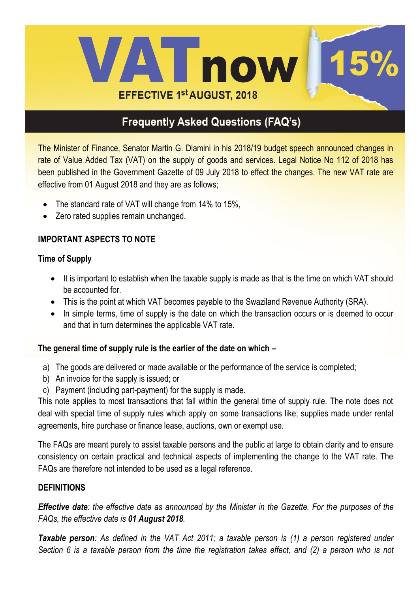

The Minister of Finance, Senator Martin G. Dlamini in his 2018/19 budget speech announced changes in rate of Value Added Tax (VAT) on the supply of goods and services. Legal Notice No 112 of 2018 has been published in the Government Gazette of 09 July 2018 to effect the changes. The new VAT rate are effective from 01 August 2018 and they are as follows;

- The standard rate of VAT will change from 14% to 15%,
- Zero rated supplies remain unchanged.

### **IMPORTANT ASPECTS TO NOTE**

#### **Time of Supply**

- It is important to establish when the taxable supply is made as that is the time on which VAT should be accounted for.
- This is the point at which VAT becomes payable to the Swaziland Revenue Authority (SRA).
- In simple terms, time of supply is the date on which the transaction occurs or is deemed to occur and that in turn determines the applicable VAT rate.

### **The general time of supply rule is the earlier of the date on which –**

- a) The goods are delivered or made available or the performance of the service is completed;
- b) An invoice for the supply is issued; or
- c) Payment (including part-payment) for the supply is made.

This note applies to most transactions that fall within the general time of supply rule. The note does not deal with special time of supply rules which apply on some transactions like; supplies made under rental agreements, hire purchase or finance lease, auctions, own or exempt use.

The FAQs are meant purely to assist taxable persons and the public at large to obtain clarity and to ensure consistency on certain practical and technical aspects of implementing the change to the VAT rate. The FAQs are therefore not intended to be used as a legal reference.

#### **DEFINITIONS**

*Effective date: the effective date as announced by the Minister in the Gazette. For the purposes of the FAQs, the effective date is 01 August 2018.*

*Taxable person: As defined in the VAT Act 2011; a taxable person is (1) a person registered under Section 6 is a taxable person from the time the registration takes effect, and (2) a person who is not*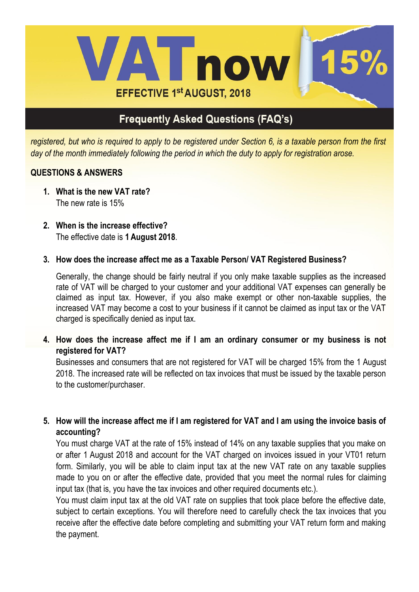

*registered, but who is required to apply to be registered under Section 6, is a taxable person from the first day of the month immediately following the period in which the duty to apply for registration arose.*

### **QUESTIONS & ANSWERS**

- **1. What is the new VAT rate?** The new rate is 15%
- **2. When is the increase effective?** The effective date is **1 August 2018**.
- **3. How does the increase affect me as a Taxable Person/ VAT Registered Business?**

Generally, the change should be fairly neutral if you only make taxable supplies as the increased rate of VAT will be charged to your customer and your additional VAT expenses can generally be claimed as input tax. However, if you also make exempt or other non-taxable supplies, the increased VAT may become a cost to your business if it cannot be claimed as input tax or the VAT charged is specifically denied as input tax.

**4. How does the increase affect me if I am an ordinary consumer or my business is not registered for VAT?**

Businesses and consumers that are not registered for VAT will be charged 15% from the 1 August 2018. The increased rate will be reflected on tax invoices that must be issued by the taxable person to the customer/purchaser.

**5. How will the increase affect me if I am registered for VAT and I am using the invoice basis of accounting?** 

You must charge VAT at the rate of 15% instead of 14% on any taxable supplies that you make on or after 1 August 2018 and account for the VAT charged on invoices issued in your VT01 return form. Similarly, you will be able to claim input tax at the new VAT rate on any taxable supplies made to you on or after the effective date, provided that you meet the normal rules for claiming input tax (that is, you have the tax invoices and other required documents etc.).

You must claim input tax at the old VAT rate on supplies that took place before the effective date, subject to certain exceptions. You will therefore need to carefully check the tax invoices that you receive after the effective date before completing and submitting your VAT return form and making the payment.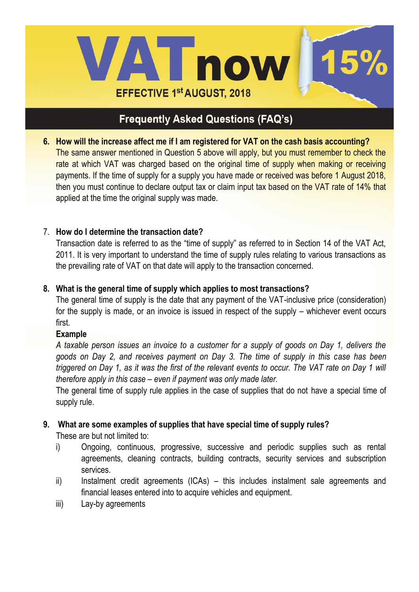

**6. How will the increase affect me if I am registered for VAT on the cash basis accounting?** The same answer mentioned in Question 5 above will apply, but you must remember to check the rate at which VAT was charged based on the original time of supply when making or receiving payments. If the time of supply for a supply you have made or received was before 1 August 2018, then you must continue to declare output tax or claim input tax based on the VAT rate of 14% that applied at the time the original supply was made.

#### 7. **How do I determine the transaction date?**

Transaction date is referred to as the "time of supply" as referred to in Section 14 of the VAT Act, 2011. It is very important to understand the time of supply rules relating to various transactions as the prevailing rate of VAT on that date will apply to the transaction concerned.

#### **8. What is the general time of supply which applies to most transactions?**

The general time of supply is the date that any payment of the VAT-inclusive price (consideration) for the supply is made, or an invoice is issued in respect of the supply – whichever event occurs first.

#### **Example**

*A taxable person issues an invoice to a customer for a supply of goods on Day 1, delivers the goods on Day 2, and receives payment on Day 3. The time of supply in this case has been triggered on Day 1, as it was the first of the relevant events to occur. The VAT rate on Day 1 will therefore apply in this case – even if payment was only made later.*

The general time of supply rule applies in the case of supplies that do not have a special time of supply rule.

#### **9. What are some examples of supplies that have special time of supply rules?**

These are but not limited to:

- i) Ongoing, continuous, progressive, successive and periodic supplies such as rental agreements, cleaning contracts, building contracts, security services and subscription services.
- ii) Instalment credit agreements (ICAs) this includes instalment sale agreements and financial leases entered into to acquire vehicles and equipment.
- iii) Lay-by agreements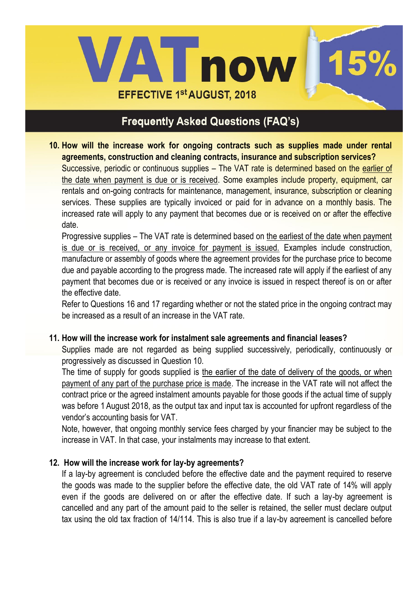

**10. How will the increase work for ongoing contracts such as supplies made under rental agreements, construction and cleaning contracts, insurance and subscription services?** Successive, periodic or continuous supplies – The VAT rate is determined based on the earlier of the date when payment is due or is received. Some examples include property, equipment, car rentals and on-going contracts for maintenance, management, insurance, subscription or cleaning services. These supplies are typically invoiced or paid for in advance on a monthly basis. The increased rate will apply to any payment that becomes due or is received on or after the effective date.

Progressive supplies – The VAT rate is determined based on the earliest of the date when payment is due or is received, or any invoice for payment is issued. Examples include construction, manufacture or assembly of goods where the agreement provides for the purchase price to become due and payable according to the progress made. The increased rate will apply if the earliest of any payment that becomes due or is received or any invoice is issued in respect thereof is on or after the effective date.

Refer to Questions 16 and 17 regarding whether or not the stated price in the ongoing contract may be increased as a result of an increase in the VAT rate.

### **11. How will the increase work for instalment sale agreements and financial leases?**

Supplies made are not regarded as being supplied successively, periodically, continuously or progressively as discussed in Question 10.

The time of supply for goods supplied is the earlier of the date of delivery of the goods, or when payment of any part of the purchase price is made. The increase in the VAT rate will not affect the contract price or the agreed instalment amounts payable for those goods if the actual time of supply was before 1 August 2018, as the output tax and input tax is accounted for upfront regardless of the vendor's accounting basis for VAT.

Note, however, that ongoing monthly service fees charged by your financier may be subject to the increase in VAT. In that case, your instalments may increase to that extent.

#### **12. How will the increase work for lay-by agreements?**

If a lay-by agreement is concluded before the effective date and the payment required to reserve the goods was made to the supplier before the effective date, the old VAT rate of 14% will apply even if the goods are delivered on or after the effective date. If such a lay-by agreement is cancelled and any part of the amount paid to the seller is retained, the seller must declare output tax using the old tax fraction of 14/114. This is also true if a lay-by agreement is cancelled before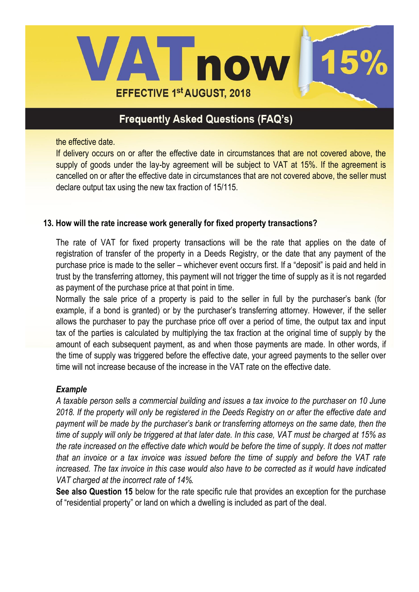

the effective date.

If delivery occurs on or after the effective date in circumstances that are not covered above, the supply of goods under the lay-by agreement will be subject to VAT at 15%. If the agreement is cancelled on or after the effective date in circumstances that are not covered above, the seller must declare output tax using the new tax fraction of 15/115.

#### **13. How will the rate increase work generally for fixed property transactions?**

The rate of VAT for fixed property transactions will be the rate that applies on the date of registration of transfer of the property in a Deeds Registry, or the date that any payment of the purchase price is made to the seller – whichever event occurs first. If a "deposit" is paid and held in trust by the transferring attorney, this payment will not trigger the time of supply as it is not regarded as payment of the purchase price at that point in time.

Normally the sale price of a property is paid to the seller in full by the purchaser's bank (for example, if a bond is granted) or by the purchaser's transferring attorney. However, if the seller allows the purchaser to pay the purchase price off over a period of time, the output tax and input tax of the parties is calculated by multiplying the tax fraction at the original time of supply by the amount of each subsequent payment, as and when those payments are made. In other words, if the time of supply was triggered before the effective date, your agreed payments to the seller over time will not increase because of the increase in the VAT rate on the effective date.

#### *Example*

*A taxable person sells a commercial building and issues a tax invoice to the purchaser on 10 June 2018. If the property will only be registered in the Deeds Registry on or after the effective date and payment will be made by the purchaser's bank or transferring attorneys on the same date, then the time of supply will only be triggered at that later date. In this case, VAT must be charged at 15% as the rate increased on the effective date which would be before the time of supply. It does not matter that an invoice or a tax invoice was issued before the time of supply and before the VAT rate increased. The tax invoice in this case would also have to be corrected as it would have indicated VAT charged at the incorrect rate of 14%.*

**See also Question 15** below for the rate specific rule that provides an exception for the purchase of "residential property" or land on which a dwelling is included as part of the deal.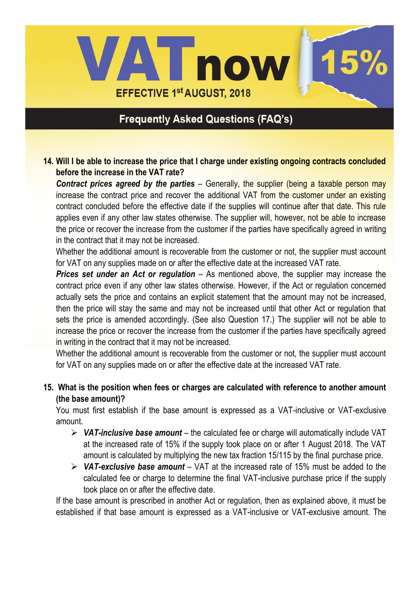

#### **14. Will I be able to increase the price that I charge under existing ongoing contracts concluded before the increase in the VAT rate?**

*Contract prices agreed by the parties* – Generally, the supplier (being a taxable person may increase the contract price and recover the additional VAT from the customer under an existing contract concluded before the effective date if the supplies will continue after that date. This rule applies even if any other law states otherwise. The supplier will, however, not be able to increase the price or recover the increase from the customer if the parties have specifically agreed in writing in the contract that it may not be increased.

Whether the additional amount is recoverable from the customer or not, the supplier must account for VAT on any supplies made on or after the effective date at the increased VAT rate.

*Prices set under an Act or regulation* – As mentioned above, the supplier may increase the contract price even if any other law states otherwise. However, if the Act or regulation concerned actually sets the price and contains an explicit statement that the amount may not be increased, then the price will stay the same and may not be increased until that other Act or regulation that sets the price is amended accordingly. (See also Question 17.) The supplier will not be able to increase the price or recover the increase from the customer if the parties have specifically agreed in writing in the contract that it may not be increased.

Whether the additional amount is recoverable from the customer or not, the supplier must account for VAT on any supplies made on or after the effective date at the increased VAT rate.

**15. What is the position when fees or charges are calculated with reference to another amount (the base amount)?**

You must first establish if the base amount is expressed as a VAT-inclusive or VAT-exclusive amount.

- *VAT-inclusive base amount* the calculated fee or charge will automatically include VAT at the increased rate of 15% if the supply took place on or after 1 August 2018. The VAT amount is calculated by multiplying the new tax fraction 15/115 by the final purchase price.
- *VAT-exclusive base amount* VAT at the increased rate of 15% must be added to the calculated fee or charge to determine the final VAT-inclusive purchase price if the supply took place on or after the effective date.

If the base amount is prescribed in another Act or regulation, then as explained above, it must be established if that base amount is expressed as a VAT-inclusive or VAT-exclusive amount. The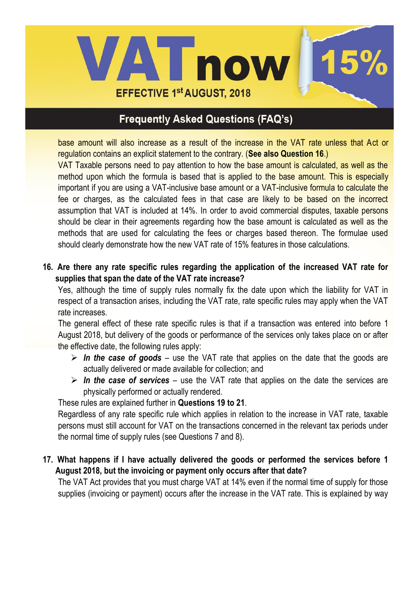

base amount will also increase as a result of the increase in the VAT rate unless that Act or regulation contains an explicit statement to the contrary. (**See also Question 16**.)

VAT Taxable persons need to pay attention to how the base amount is calculated, as well as the method upon which the formula is based that is applied to the base amount. This is especially important if you are using a VAT-inclusive base amount or a VAT-inclusive formula to calculate the fee or charges, as the calculated fees in that case are likely to be based on the incorrect assumption that VAT is included at 14%. In order to avoid commercial disputes, taxable persons should be clear in their agreements regarding how the base amount is calculated as well as the methods that are used for calculating the fees or charges based thereon. The formulae used should clearly demonstrate how the new VAT rate of 15% features in those calculations.

**16. Are there any rate specific rules regarding the application of the increased VAT rate for supplies that span the date of the VAT rate increase?**

Yes, although the time of supply rules normally fix the date upon which the liability for VAT in respect of a transaction arises, including the VAT rate, rate specific rules may apply when the VAT rate increases.

The general effect of these rate specific rules is that if a transaction was entered into before 1 August 2018, but delivery of the goods or performance of the services only takes place on or after the effective date, the following rules apply:

- *In the case of goods* use the VAT rate that applies on the date that the goods are actually delivered or made available for collection; and
- *In the case of services* use the VAT rate that applies on the date the services are physically performed or actually rendered.

These rules are explained further in **Questions 19 to 21**.

Regardless of any rate specific rule which applies in relation to the increase in VAT rate, taxable persons must still account for VAT on the transactions concerned in the relevant tax periods under the normal time of supply rules (see Questions 7 and 8).

### **17. What happens if I have actually delivered the goods or performed the services before 1 August 2018, but the invoicing or payment only occurs after that date?**

The VAT Act provides that you must charge VAT at 14% even if the normal time of supply for those supplies (invoicing or payment) occurs after the increase in the VAT rate. This is explained by way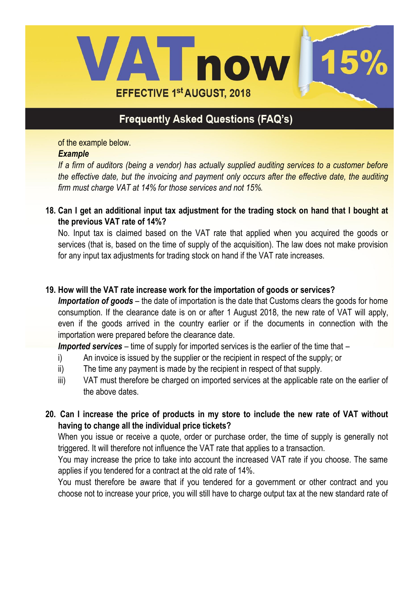

of the example below.

#### *Example*

*If a firm of auditors (being a vendor) has actually supplied auditing services to a customer before the effective date, but the invoicing and payment only occurs after the effective date, the auditing firm must charge VAT at 14% for those services and not 15%.*

**18. Can I get an additional input tax adjustment for the trading stock on hand that I bought at the previous VAT rate of 14%?**

No. Input tax is claimed based on the VAT rate that applied when you acquired the goods or services (that is, based on the time of supply of the acquisition). The law does not make provision for any input tax adjustments for trading stock on hand if the VAT rate increases.

#### **19. How will the VAT rate increase work for the importation of goods or services?**

*Importation of goods* – the date of importation is the date that Customs clears the goods for home consumption. If the clearance date is on or after 1 August 2018, the new rate of VAT will apply, even if the goods arrived in the country earlier or if the documents in connection with the importation were prepared before the clearance date.

*Imported services* – time of supply for imported services is the earlier of the time that –

- i) An invoice is issued by the supplier or the recipient in respect of the supply; or
- ii) The time any payment is made by the recipient in respect of that supply.
- iii) VAT must therefore be charged on imported services at the applicable rate on the earlier of the above dates.
- **20. Can I increase the price of products in my store to include the new rate of VAT without having to change all the individual price tickets?**

When you issue or receive a quote, order or purchase order, the time of supply is generally not triggered. It will therefore not influence the VAT rate that applies to a transaction.

You may increase the price to take into account the increased VAT rate if you choose. The same applies if you tendered for a contract at the old rate of 14%.

You must therefore be aware that if you tendered for a government or other contract and you choose not to increase your price, you will still have to charge output tax at the new standard rate of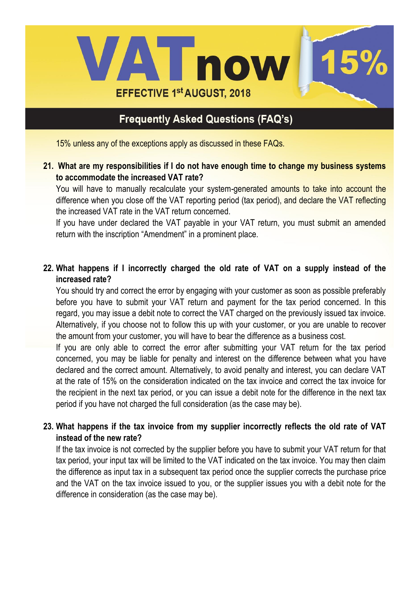

15% unless any of the exceptions apply as discussed in these FAQs.

**21. What are my responsibilities if I do not have enough time to change my business systems to accommodate the increased VAT rate?**

You will have to manually recalculate your system-generated amounts to take into account the difference when you close off the VAT reporting period (tax period), and declare the VAT reflecting the increased VAT rate in the VAT return concerned.

If you have under declared the VAT payable in your VAT return, you must submit an amended return with the inscription "Amendment" in a prominent place.

### **22. What happens if I incorrectly charged the old rate of VAT on a supply instead of the increased rate?**

You should try and correct the error by engaging with your customer as soon as possible preferably before you have to submit your VAT return and payment for the tax period concerned. In this regard, you may issue a debit note to correct the VAT charged on the previously issued tax invoice. Alternatively, if you choose not to follow this up with your customer, or you are unable to recover the amount from your customer, you will have to bear the difference as a business cost.

If you are only able to correct the error after submitting your VAT return for the tax period concerned, you may be liable for penalty and interest on the difference between what you have declared and the correct amount. Alternatively, to avoid penalty and interest, you can declare VAT at the rate of 15% on the consideration indicated on the tax invoice and correct the tax invoice for the recipient in the next tax period, or you can issue a debit note for the difference in the next tax period if you have not charged the full consideration (as the case may be).

### **23. What happens if the tax invoice from my supplier incorrectly reflects the old rate of VAT instead of the new rate?**

If the tax invoice is not corrected by the supplier before you have to submit your VAT return for that tax period, your input tax will be limited to the VAT indicated on the tax invoice. You may then claim the difference as input tax in a subsequent tax period once the supplier corrects the purchase price and the VAT on the tax invoice issued to you, or the supplier issues you with a debit note for the difference in consideration (as the case may be).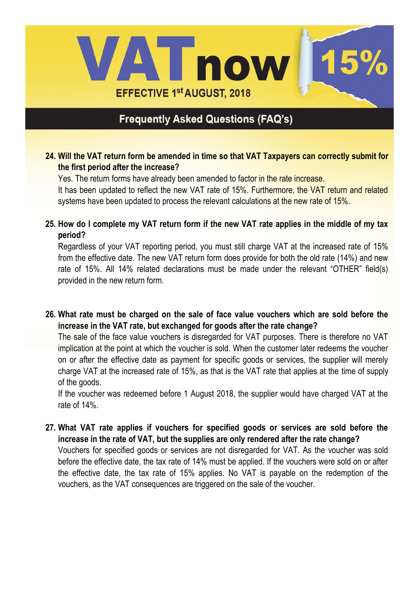

**24. Will the VAT return form be amended in time so that VAT Taxpayers can correctly submit for the first period after the increase?**

Yes. The return forms have already been amended to factor in the rate increase.

It has been updated to reflect the new VAT rate of 15%. Furthermore, the VAT return and related systems have been updated to process the relevant calculations at the new rate of 15%.

**25. How do I complete my VAT return form if the new VAT rate applies in the middle of my tax period?** 

Regardless of your VAT reporting period, you must still charge VAT at the increased rate of 15% from the effective date. The new VAT return form does provide for both the old rate (14%) and new rate of 15%. All 14% related declarations must be made under the relevant "OTHER" field(s) provided in the new return form.

**26. What rate must be charged on the sale of face value vouchers which are sold before the increase in the VAT rate, but exchanged for goods after the rate change?**

The sale of the face value vouchers is disregarded for VAT purposes. There is therefore no VAT implication at the point at which the voucher is sold. When the customer later redeems the voucher on or after the effective date as payment for specific goods or services, the supplier will merely charge VAT at the increased rate of 15%, as that is the VAT rate that applies at the time of supply of the goods.

If the voucher was redeemed before 1 August 2018, the supplier would have charged VAT at the rate of 14%.

**27. What VAT rate applies if vouchers for specified goods or services are sold before the increase in the rate of VAT, but the supplies are only rendered after the rate change?** Vouchers for specified goods or services are not disregarded for VAT. As the voucher was sold before the effective date, the tax rate of 14% must be applied. If the vouchers were sold on or after the effective date, the tax rate of 15% applies. No VAT is payable on the redemption of the vouchers, as the VAT consequences are triggered on the sale of the voucher.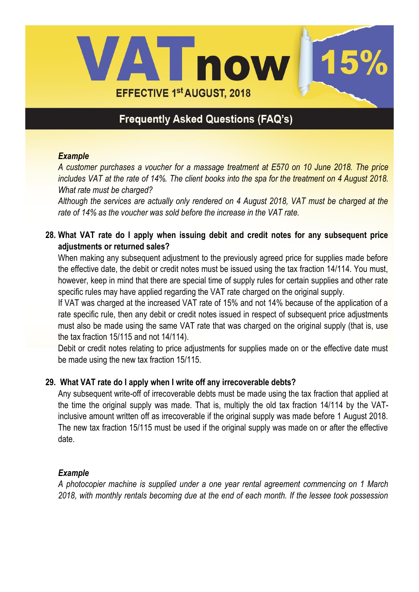

#### *Example*

*A customer purchases a voucher for a massage treatment at E570 on 10 June 2018. The price includes VAT at the rate of 14%. The client books into the spa for the treatment on 4 August 2018. What rate must be charged?*

*Although the services are actually only rendered on 4 August 2018, VAT must be charged at the rate of 14% as the voucher was sold before the increase in the VAT rate.* 

### **28. What VAT rate do I apply when issuing debit and credit notes for any subsequent price adjustments or returned sales?**

When making any subsequent adjustment to the previously agreed price for supplies made before the effective date, the debit or credit notes must be issued using the tax fraction 14/114. You must, however, keep in mind that there are special time of supply rules for certain supplies and other rate specific rules may have applied regarding the VAT rate charged on the original supply.

If VAT was charged at the increased VAT rate of 15% and not 14% because of the application of a rate specific rule, then any debit or credit notes issued in respect of subsequent price adjustments must also be made using the same VAT rate that was charged on the original supply (that is, use the tax fraction 15/115 and not 14/114).

Debit or credit notes relating to price adjustments for supplies made on or the effective date must be made using the new tax fraction 15/115.

### **29. What VAT rate do I apply when I write off any irrecoverable debts?**

Any subsequent write-off of irrecoverable debts must be made using the tax fraction that applied at the time the original supply was made. That is, multiply the old tax fraction 14/114 by the VATinclusive amount written off as irrecoverable if the original supply was made before 1 August 2018. The new tax fraction 15/115 must be used if the original supply was made on or after the effective date.

#### *Example*

*A photocopier machine is supplied under a one year rental agreement commencing on 1 March 2018, with monthly rentals becoming due at the end of each month. If the lessee took possession*